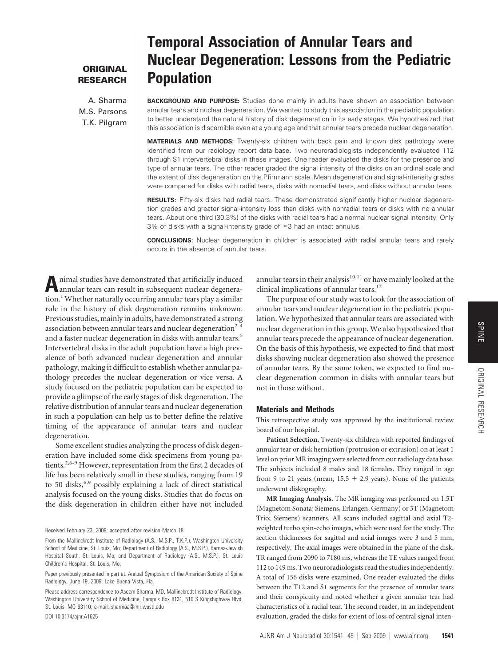## **ORIGINAL RESEARCH**

A. Sharma M.S. Parsons T.K. Pilgram

# **Temporal Association of Annular Tears and Nuclear Degeneration: Lessons from the Pediatric Population**

**BACKGROUND AND PURPOSE:** Studies done mainly in adults have shown an association between annular tears and nuclear degeneration. We wanted to study this association in the pediatric population to better understand the natural history of disk degeneration in its early stages. We hypothesized that this association is discernible even at a young age and that annular tears precede nuclear degeneration.

**MATERIALS AND METHODS:** Twenty-six children with back pain and known disk pathology were identified from our radiology report data base. Two neuroradiologists independently evaluated T12 through S1 intervertebral disks in these images. One reader evaluated the disks for the presence and type of annular tears. The other reader graded the signal intensity of the disks on an ordinal scale and the extent of disk degeneration on the Pfirrmann scale. Mean degeneration and signal-intensity grades were compared for disks with radial tears, disks with nonradial tears, and disks without annular tears.

**RESULTS:** Fifty-six disks had radial tears. These demonstrated significantly higher nuclear degeneration grades and greater signal-intensity loss than disks with nonradial tears or disks with no annular tears. About one third (30.3%) of the disks with radial tears had a normal nuclear signal intensity. Only  $3\%$  of disks with a signal-intensity grade of  $\geq 3$  had an intact annulus.

**CONCLUSIONS:** Nuclear degeneration in children is associated with radial annular tears and rarely occurs in the absence of annular tears.

**A**nimal studies have demonstrated that artificially induced annular tears can result in subsequent nuclear degeneration.<sup>1</sup> Whether naturally occurring annular tears play a similar role in the history of disk degeneration remains unknown. Previous studies, mainly in adults, have demonstrated a strong association between annular tears and nuclear degeneration<sup>2-4</sup> and a faster nuclear degeneration in disks with annular tears.<sup>5</sup> Intervertebral disks in the adult population have a high prevalence of both advanced nuclear degeneration and annular pathology, making it difficult to establish whether annular pathology precedes the nuclear degeneration or vice versa. A study focused on the pediatric population can be expected to provide a glimpse of the early stages of disk degeneration. The relative distribution of annular tears and nuclear degeneration in such a population can help us to better define the relative timing of the appearance of annular tears and nuclear degeneration.

Some excellent studies analyzing the process of disk degeneration have included some disk specimens from young patients.<sup>2,6-9</sup> However, representation from the first 2 decades of life has been relatively small in these studies, ranging from 19 to 50 disks,<sup>6,9</sup> possibly explaining a lack of direct statistical analysis focused on the young disks. Studies that do focus on the disk degeneration in children either have not included

Received February 23, 2009; accepted after revision March 18.

DOI 10.3174/ajnr.A1625

annular tears in their analysis $10,11$  or have mainly looked at the clinical implications of annular tears.<sup>12</sup>

The purpose of our study was to look for the association of annular tears and nuclear degeneration in the pediatric population. We hypothesized that annular tears are associated with nuclear degeneration in this group. We also hypothesized that annular tears precede the appearance of nuclear degeneration. On the basis of this hypothesis, we expected to find that most disks showing nuclear degeneration also showed the presence of annular tears. By the same token, we expected to find nuclear degeneration common in disks with annular tears but not in those without.

## **Materials and Methods**

This retrospective study was approved by the institutional review board of our hospital.

**Patient Selection.** Twenty-six children with reported findings of annular tear or disk herniation (protrusion or extrusion) on at least 1 level on prior MR imaging were selected from our radiology data base. The subjects included 8 males and 18 females. They ranged in age from 9 to 21 years (mean,  $15.5 + 2.9$  years). None of the patients underwent diskography.

**MR Imaging Analysis.** The MR imaging was performed on 1.5T (Magnetom Sonata; Siemens, Erlangen, Germany) or 3T (Magnetom Trio; Siemens) scanners. All scans included sagittal and axial T2 weighted turbo spin-echo images, which were used for the study. The section thicknesses for sagittal and axial images were 3 and 5 mm, respectively. The axial images were obtained in the plane of the disk. TR ranged from 2090 to 7180 ms, whereas the TE values ranged from 112 to 149 ms. Two neuroradiologists read the studies independently. A total of 156 disks were examined. One reader evaluated the disks between the T12 and S1 segments for the presence of annular tears and their conspicuity and noted whether a given annular tear had characteristics of a radial tear. The second reader, in an independent evaluation, graded the disks for extent of loss of central signal inten-

From the Mallinckrodt Institute of Radiology (A.S., M.S.P., T.K.P.), Washington University School of Medicine, St. Louis, Mo; Department of Radiology (A.S., M.S.P.), Barnes-Jewish Hospital South, St. Louis, Mo; and Department of Radiology (A.S., M.S.P.), St. Louis Children's Hospital, St. Louis, Mo.

Paper previously presented in part at: Annual Symposium of the American Society of Spine Radiology, June 19, 2009; Lake Buena Vista, Fla.

Please address correspondence to Aseem Sharma, MD, Mallinckrodt Institute of Radiology, Washington University School of Medicine, Campus Box 8131, 510 S Kingshighway Blvd, St. Louis, MO 63110; e-mail: sharmaa@mir.wustl.edu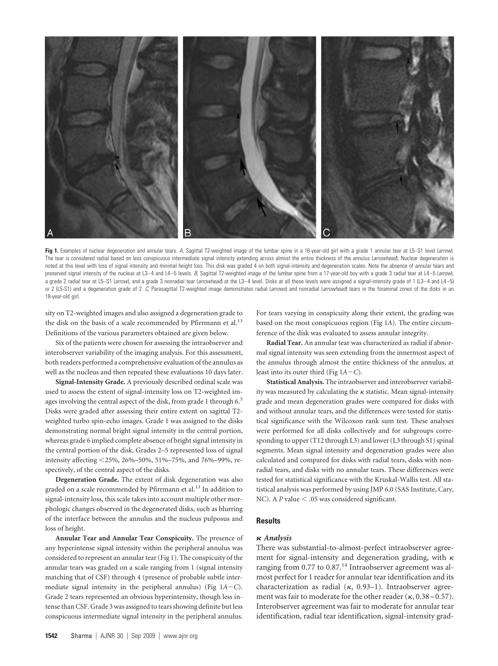

**Fig 1.** Examples of nuclear degeneration and annular tears. *A*, Sagittal T2-weighted image of the lumbar spine in a 16-year-old girl with a grade 1 annular tear at L5–S1 level (*arrow*). The tear is considered radial based on less conspicuous intermediate signal intensity extending across almost the entire thickness of the annulus (*arrowhead*). Nuclear degeneration is noted at this level with loss of signal intensity and minimal height loss. This disk was graded 4 on both signal-intensity and degeneration scales. Note the absence of annular tears and preserved signal intensity of the nucleus at L3-4 and L4-5 levels. *B*, Sagittal T2-weighted image of the lumbar spine from a 17-year-old boy with a grade 3 radial tear at L4-5 (*arrow*), a grade 2 radial tear at L5-S1 (arrow), and a grade 3 nonradial tear (arrowhead) at the L3-4 level. Disks at all these levels were assigned a signal-intensity grade of 1 (L3-4 and L4-5) or 2 (L5-S1) and a degeneration grade of 2. *C*, Parasagittal T2-weighted image demonstrates radial (*arrows*) and nonradial (*arrowhead*) tears in the foraminal zones of the disks in an 18-year-old girl.

sity on T2-weighted images and also assigned a degeneration grade to the disk on the basis of a scale recommended by Pfirrmann et al.<sup>13</sup> Definitions of the various parameters obtained are given below.

Six of the patients were chosen for assessing the intraobserver and interobserver variability of the imaging analysis. For this assessment, both readers performed a comprehensive evaluation of the annulus as well as the nucleus and then repeated these evaluations 10 days later.

**Signal-Intensity Grade.** A previously described ordinal scale was used to assess the extent of signal-intensity loss on T2-weighted images involving the central aspect of the disk, from grade 1 through 6.<sup>5</sup> Disks were graded after assessing their entire extent on sagittal T2 weighted turbo spin-echo images. Grade 1 was assigned to the disks demonstrating normal bright signal intensity in the central portion, whereas grade 6 implied complete absence of bright signal intensity in the central portion of the disk. Grades 2–5 represented loss of signal intensity affecting <25%, 26%–50%, 51%–75%, and 76%–99%, respectively, of the central aspect of the disks.

**Degeneration Grade.** The extent of disk degeneration was also graded on a scale recommended by Pfirrmann et al.<sup>13</sup> In addition to signal-intensity loss, this scale takes into account multiple other morphologic changes observed in the degenerated disks, such as blurring of the interface between the annulus and the nucleus pulposus and loss of height.

**Annular Tear and Annular Tear Conspicuity.** The presence of any hyperintense signal intensity within the peripheral annulus was considered to represent an annular tear (Fig 1). The conspicuity of the annular tears was graded on a scale ranging from 1 (signal intensity matching that of CSF) through 4 (presence of probable subtle intermediate signal intensity in the peripheral annulus) (Fig 1*AC*). Grade 2 tears represented an obvious hyperintensity, though less intense than CSF. Grade 3 was assigned to tears showing definite but less conspicuous intermediate signal intensity in the peripheral annulus.

For tears varying in conspicuity along their extent, the grading was based on the most conspicuous region (Fig 1*A*). The entire circumference of the disk was evaluated to assess annular integrity.

**Radial Tear.** An annular tear was characterized as radial if abnormal signal intensity was seen extending from the innermost aspect of the annulus through almost the entire thickness of the annulus, at least into its outer third (Fig  $1A-C$ ).

**Statistical Analysis.** The intraobserver and interobserver variability was measured by calculating the  $\kappa$  statistic. Mean signal-intensity grade and mean degeneration grades were compared for disks with and without annular tears, and the differences were tested for statistical significance with the Wilcoxon rank sum test. These analyses were performed for all disks collectively and for subgroups corresponding to upper (T12 through L3) and lower (L3 through S1) spinal segments. Mean signal intensity and degeneration grades were also calculated and compared for disks with radial tears, disks with nonradial tears, and disks with no annular tears. These differences were tested for statistical significance with the Kruskal-Wallis test. All statistical analysis was performed by using JMP 6.0 (SAS Institute, Cary, NC). A *P* value < .05 was considered significant.

## **Results**

## *Analysis*

There was substantial-to-almost-perfect intraobserver agreement for signal-intensity and degeneration grading, with  $\kappa$ ranging from 0.77 to  $0.87$ .<sup>14</sup> Intraobserver agreement was almost perfect for 1 reader for annular tear identification and its characterization as radial  $(\kappa, 0.93-1)$ . Intraobserver agreement was fair to moderate for the other reader  $(\kappa, 0.38 - 0.57)$ . Interobserver agreement was fair to moderate for annular tear identification, radial tear identification, signal-intensity grad-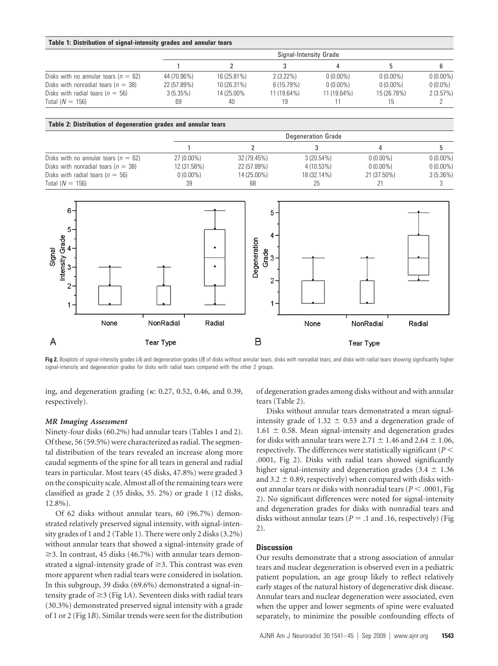#### **Table 1: Distribution of signal-intensity grades and annular tears**

|                                          | Signal-Intensity Grade |             |             |             |             |             |  |
|------------------------------------------|------------------------|-------------|-------------|-------------|-------------|-------------|--|
|                                          |                        |             |             |             |             |             |  |
| Disks with no annular tears ( $n = 62$ ) | 44 (70.96%)            | 16 (25.81%) | $2(3.22\%)$ | $0(0.00\%)$ | $0(0.00\%)$ | $0(0.00\%)$ |  |
| Disks with nonradial tears ( $n = 38$ )  | 22 (57.89%)            | 10 (26.31%) | 6(15.79%)   | $0(0.00\%)$ | $0(0.00\%)$ | $0(0.0\%)$  |  |
| Disks with radial tears ( $n = 56$ )     | 3(5.35%)               | 14 (25.00%  | 11 (19.64%) | 11 (19.64%) | 15 (26.78%) | 2(3.57%)    |  |
| Total $(N = 156)$                        | 69                     | 40          | 19          |             | 15          |             |  |

#### **Table 2: Distribution of degeneration grades and annular tears**

|                                          | <b>Degeneration Grade</b> |             |              |             |             |  |  |
|------------------------------------------|---------------------------|-------------|--------------|-------------|-------------|--|--|
|                                          |                           |             |              |             |             |  |  |
| Disks with no annular tears ( $n = 62$ ) | 27 (0.00%)                | 32 (79.45%) | $3(20.54\%)$ | $0(0.00\%)$ | $0(0.00\%)$ |  |  |
| Disks with nonradial tears ( $n = 38$ )  | 12 (31.58%)               | 22 (57.89%) | 4 (10.53%)   | $0(0.00\%)$ | $0(0.00\%)$ |  |  |
| Disks with radial tears ( $n = 56$ )     | $0(0.00\%)$               | 14 (25.00%) | 18 (32.14%)  | 21 (37.50%) | 3(5.36%)    |  |  |
| Total $(N = 156)$                        | 39                        | 68          | 25           |             |             |  |  |



Fig 2. Boxplots of signal-intensity grades (A) and degeneration grades (B) of disks without annular tears, disks with nonradial tears, and disks with radial tears showing significantly higher signal-intensity and degeneration grades for disks with radial tears compared with the other 2 groups.

ing, and degeneration grading ( $\kappa$ : 0.27, 0.52, 0.46, and 0.39, respectively).

of degeneration grades among disks without and with annular tears (Table 2).

## *MR Imaging Assessment*

Ninety-four disks (60.2%) had annular tears (Tables 1 and 2). Of these, 56 (59.5%) were characterized as radial. The segmental distribution of the tears revealed an increase along more caudal segments of the spine for all tears in general and radial tears in particular. Most tears (45 disks, 47.8%) were graded 3 on the conspicuity scale. Almost all of the remaining tears were classified as grade 2 (35 disks, 35. 2%) or grade 1 (12 disks, 12.8%).

Of 62 disks without annular tears, 60 (96.7%) demonstrated relatively preserved signal intensity, with signal-intensity grades of 1 and 2 (Table 1). There were only 2 disks (3.2%) without annular tears that showed a signal-intensity grade of  $\geq$ 3. In contrast, 45 disks (46.7%) with annular tears demonstrated a signal-intensity grade of  $\geq$ 3. This contrast was even more apparent when radial tears were considered in isolation. In this subgroup, 39 disks (69.6%) demonstrated a signal-intensity grade of  $\geq$  3 (Fig 1*A*). Seventeen disks with radial tears (30.3%) demonstrated preserved signal intensity with a grade of 1 or 2 (Fig 1*B*). Similar trends were seen for the distribution

Disks without annular tears demonstrated a mean signalintensity grade of 1.32  $\pm$  0.53 and a degeneration grade of  $1.61 \pm 0.58$ . Mean signal-intensity and degeneration grades for disks with annular tears were 2.71  $\pm$  1.46 and 2.64  $\pm$  1.06, respectively. The differences were statistically significant ( $P$   $<$ .0001, Fig 2). Disks with radial tears showed significantly higher signal-intensity and degeneration grades (3.4  $\pm$  1.36 and 3.2  $\pm$  0.89, respectively) when compared with disks without annular tears or disks with nonradial tears ( $P < .0001$ , Fig 2). No significant differences were noted for signal-intensity and degeneration grades for disks with nonradial tears and disks without annular tears ( $P = .1$  and .16, respectively) (Fig 2).

### **Discussion**

Our results demonstrate that a strong association of annular tears and nuclear degeneration is observed even in a pediatric patient population, an age group likely to reflect relatively early stages of the natural history of degenerative disk disease. Annular tears and nuclear degeneration were associated, even when the upper and lower segments of spine were evaluated separately, to minimize the possible confounding effects of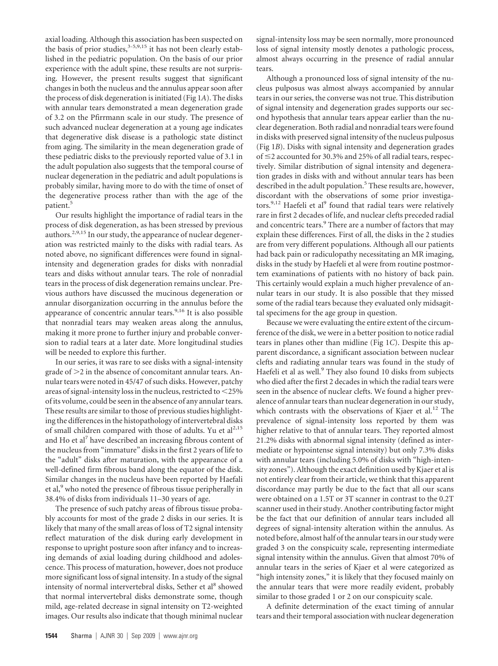axial loading. Although this association has been suspected on the basis of prior studies, $3-5,9,15$  it has not been clearly established in the pediatric population. On the basis of our prior experience with the adult spine, these results are not surprising. However, the present results suggest that significant changes in both the nucleus and the annulus appear soon after the process of disk degeneration is initiated (Fig 1*A*). The disks with annular tears demonstrated a mean degeneration grade of 3.2 on the Pfirrmann scale in our study. The presence of such advanced nuclear degeneration at a young age indicates that degenerative disk disease is a pathologic state distinct from aging. The similarity in the mean degeneration grade of these pediatric disks to the previously reported value of 3.1 in the adult population also suggests that the temporal course of nuclear degeneration in the pediatric and adult populations is probably similar, having more to do with the time of onset of the degenerative process rather than with the age of the patient.<sup>5</sup>

Our results highlight the importance of radial tears in the process of disk degeneration, as has been stressed by previous authors.<sup>2,9,15</sup> In our study, the appearance of nuclear degeneration was restricted mainly to the disks with radial tears. As noted above, no significant differences were found in signalintensity and degeneration grades for disks with nonradial tears and disks without annular tears. The role of nonradial tears in the process of disk degeneration remains unclear. Previous authors have discussed the mucinous degeneration or annular disorganization occurring in the annulus before the appearance of concentric annular tears.<sup>9,16</sup> It is also possible that nonradial tears may weaken areas along the annulus, making it more prone to further injury and probable conversion to radial tears at a later date. More longitudinal studies will be needed to explore this further.

In our series, it was rare to see disks with a signal-intensity grade of  $>$ 2 in the absence of concomitant annular tears. Annular tears were noted in 45/47 of such disks. However, patchy areas of signal-intensity loss in the nucleus, restricted to  $<$  25% of its volume, could be seen in the absence of any annular tears. These results are similar to those of previous studies highlighting the differences in the histopathology of intervertebral disks of small children compared with those of adults. Yu et  $al<sup>2,15</sup>$ and Ho et al<sup>7</sup> have described an increasing fibrous content of the nucleus from "immature" disks in the first 2 years of life to the "adult" disks after maturation, with the appearance of a well-defined firm fibrous band along the equator of the disk. Similar changes in the nucleus have been reported by Haefali et al,<sup>9</sup> who noted the presence of fibrous tissue peripherally in 38.4% of disks from individuals 11–30 years of age.

The presence of such patchy areas of fibrous tissue probably accounts for most of the grade 2 disks in our series. It is likely that many of the small areas of loss of T2 signal intensity reflect maturation of the disk during early development in response to upright posture soon after infancy and to increasing demands of axial loading during childhood and adolescence. This process of maturation, however, does not produce more significant loss of signal intensity. In a study of the signal intensity of normal intervertebral disks, Sether et al<sup>8</sup> showed that normal intervertebral disks demonstrate some, though mild, age-related decrease in signal intensity on T2-weighted images. Our results also indicate that though minimal nuclear

signal-intensity loss may be seen normally, more pronounced loss of signal intensity mostly denotes a pathologic process, almost always occurring in the presence of radial annular tears.

Although a pronounced loss of signal intensity of the nucleus pulposus was almost always accompanied by annular tears in our series, the converse was not true. This distribution of signal intensity and degeneration grades supports our second hypothesis that annular tears appear earlier than the nuclear degeneration. Both radial and nonradial tears were found in disks with preserved signal intensity of the nucleus pulposus (Fig 1*B*). Disks with signal intensity and degeneration grades of  $\leq$  2 accounted for 30.3% and 25% of all radial tears, respectively. Similar distribution of signal intensity and degeneration grades in disks with and without annular tears has been described in the adult population.<sup>5</sup> These results are, however, discordant with the observations of some prior investigators.<sup>9,12</sup> Haefeli et al<sup>9</sup> found that radial tears were relatively rare in first 2 decades of life, and nuclear clefts preceded radial and concentric tears.<sup>9</sup> There are a number of factors that may explain these differences. First of all, the disks in the 2 studies are from very different populations. Although all our patients had back pain or radiculopathy necessitating an MR imaging, disks in the study by Haefeli et al were from routine postmortem examinations of patients with no history of back pain. This certainly would explain a much higher prevalence of annular tears in our study. It is also possible that they missed some of the radial tears because they evaluated only midsagittal specimens for the age group in question.

Because we were evaluating the entire extent of the circumference of the disk, we were in a better position to notice radial tears in planes other than midline (Fig 1*C*). Despite this apparent discordance, a significant association between nuclear clefts and radiating annular tears was found in the study of Haefeli et al as well.<sup>9</sup> They also found 10 disks from subjects who died after the first 2 decades in which the radial tears were seen in the absence of nuclear clefts. We found a higher prevalence of annular tears than nuclear degeneration in our study, which contrasts with the observations of Kjaer et al.<sup>12</sup> The prevalence of signal-intensity loss reported by them was higher relative to that of annular tears. They reported almost 21.2% disks with abnormal signal intensity (defined as intermediate or hypointense signal intensity) but only 7.3% disks with annular tears (including 5.0% of disks with "high-intensity zones"). Although the exact definition used by Kjaer et al is not entirely clear from their article, we think that this apparent discordance may partly be due to the fact that all our scans were obtained on a 1.5T or 3T scanner in contrast to the 0.2T scanner used in their study. Another contributing factor might be the fact that our definition of annular tears included all degrees of signal-intensity alteration within the annulus. As noted before, almost half of the annular tears in our study were graded 3 on the conspicuity scale, representing intermediate signal intensity within the annulus. Given that almost 70% of annular tears in the series of Kjaer et al were categorized as "high intensity zones," it is likely that they focused mainly on the annular tears that were more readily evident, probably similar to those graded 1 or 2 on our conspicuity scale.

A definite determination of the exact timing of annular tears and their temporal association with nuclear degeneration